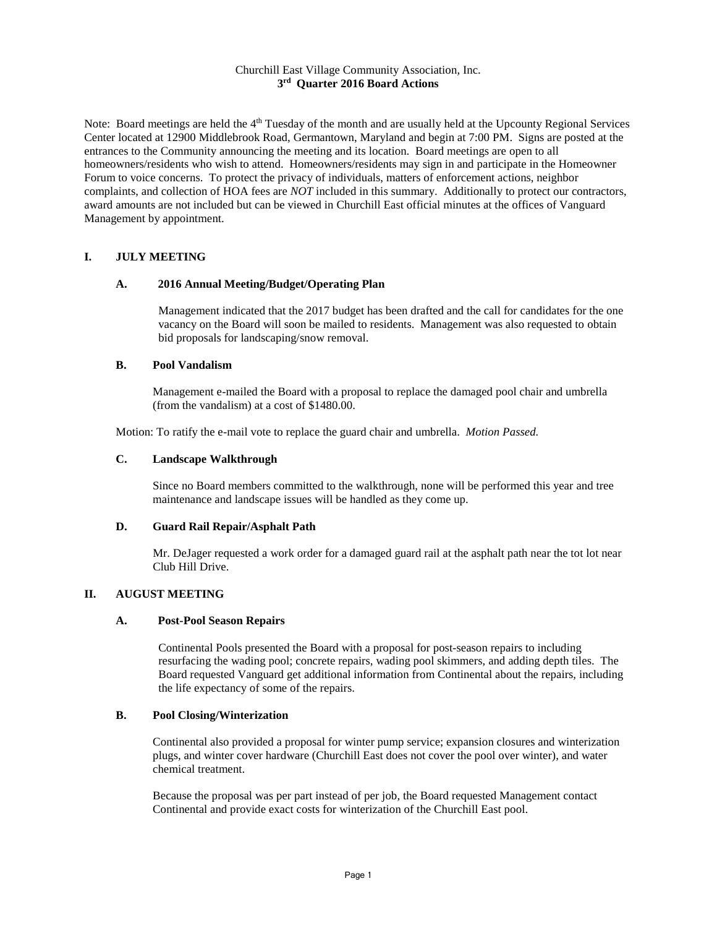## Churchill East Village Community Association, Inc. **3rd Quarter 2016 Board Actions**

Note: Board meetings are held the 4<sup>th</sup> Tuesday of the month and are usually held at the Upcounty Regional Services Center located at 12900 Middlebrook Road, Germantown, Maryland and begin at 7:00 PM. Signs are posted at the entrances to the Community announcing the meeting and its location. Board meetings are open to all homeowners/residents who wish to attend. Homeowners/residents may sign in and participate in the Homeowner Forum to voice concerns. To protect the privacy of individuals, matters of enforcement actions, neighbor complaints, and collection of HOA fees are *NOT* included in this summary. Additionally to protect our contractors, award amounts are not included but can be viewed in Churchill East official minutes at the offices of Vanguard Management by appointment.

## **I. JULY MEETING**

## **A. 2016 Annual Meeting/Budget/Operating Plan**

Management indicated that the 2017 budget has been drafted and the call for candidates for the one vacancy on the Board will soon be mailed to residents. Management was also requested to obtain bid proposals for landscaping/snow removal.

### **B. Pool Vandalism**

Management e-mailed the Board with a proposal to replace the damaged pool chair and umbrella (from the vandalism) at a cost of \$1480.00.

Motion: To ratify the e-mail vote to replace the guard chair and umbrella. *Motion Passed.*

### **C. Landscape Walkthrough**

Since no Board members committed to the walkthrough, none will be performed this year and tree maintenance and landscape issues will be handled as they come up.

#### **D. Guard Rail Repair/Asphalt Path**

Mr. DeJager requested a work order for a damaged guard rail at the asphalt path near the tot lot near Club Hill Drive.

## **II. AUGUST MEETING**

#### **A. Post-Pool Season Repairs**

Continental Pools presented the Board with a proposal for post-season repairs to including resurfacing the wading pool; concrete repairs, wading pool skimmers, and adding depth tiles. The Board requested Vanguard get additional information from Continental about the repairs, including the life expectancy of some of the repairs.

### **B. Pool Closing/Winterization**

Continental also provided a proposal for winter pump service; expansion closures and winterization plugs, and winter cover hardware (Churchill East does not cover the pool over winter), and water chemical treatment.

Because the proposal was per part instead of per job, the Board requested Management contact Continental and provide exact costs for winterization of the Churchill East pool.